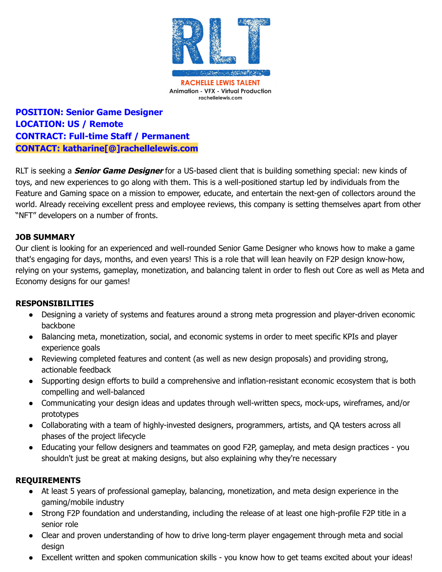

**POSITION: Senior Game Designer LOCATION: US / Remote CONTRACT: Full-time Staff / Permanent CONTACT: katharine[@]rachellelewis.com**

RLT is seeking a **Senior Game Designer** for a US-based client that is building something special: new kinds of toys, and new experiences to go along with them. This is a well-positioned startup led by individuals from the Feature and Gaming space on a mission to empower, educate, and entertain the next-gen of collectors around the world. Already receiving excellent press and employee reviews, this company is setting themselves apart from other "NFT" developers on a number of fronts.

## **JOB SUMMARY**

Our client is looking for an experienced and well-rounded Senior Game Designer who knows how to make a game that's engaging for days, months, and even years! This is a role that will lean heavily on F2P design know-how, relying on your systems, gameplay, monetization, and balancing talent in order to flesh out Core as well as Meta and Economy designs for our games!

## **RESPONSIBILITIES**

- Designing a variety of systems and features around a strong meta progression and player-driven economic backbone
- Balancing meta, monetization, social, and economic systems in order to meet specific KPIs and player experience goals
- Reviewing completed features and content (as well as new design proposals) and providing strong, actionable feedback
- Supporting design efforts to build a comprehensive and inflation-resistant economic ecosystem that is both compelling and well-balanced
- Communicating your design ideas and updates through well-written specs, mock-ups, wireframes, and/or prototypes
- Collaborating with a team of highly-invested designers, programmers, artists, and QA testers across all phases of the project lifecycle
- Educating your fellow designers and teammates on good F2P, gameplay, and meta design practices you shouldn't just be great at making designs, but also explaining why they're necessary

## **REQUIREMENTS**

- At least 5 years of professional gameplay, balancing, monetization, and meta design experience in the gaming/mobile industry
- Strong F2P foundation and understanding, including the release of at least one high-profile F2P title in a senior role
- Clear and proven understanding of how to drive long-term player engagement through meta and social design
- Excellent written and spoken communication skills you know how to get teams excited about your ideas!